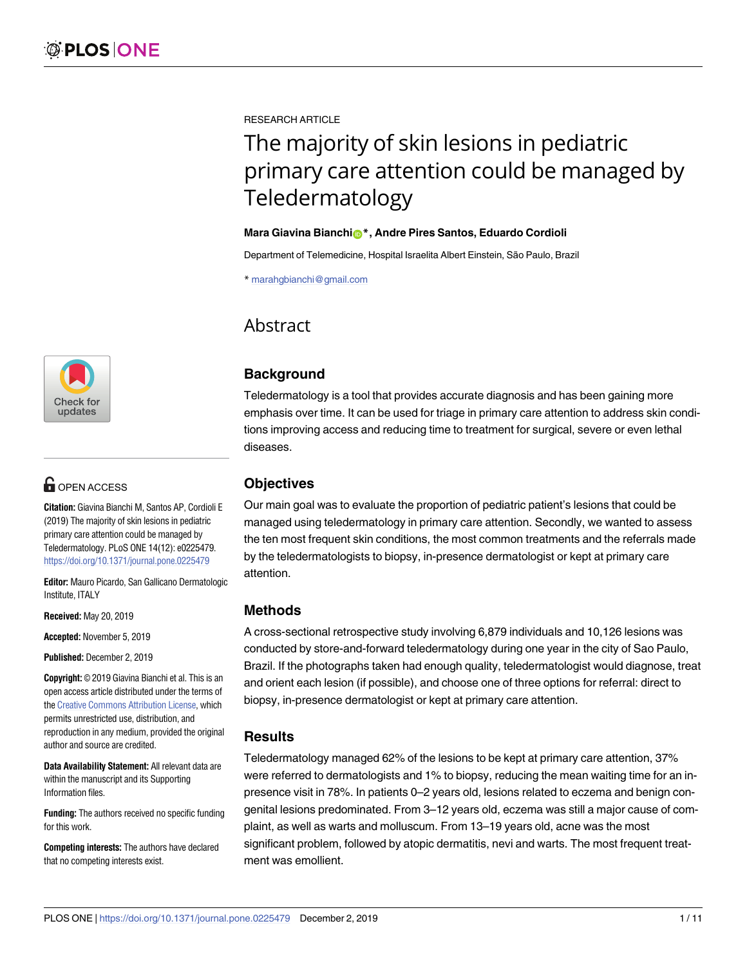

# **G** OPEN ACCESS

**Citation:** Giavina Bianchi M, Santos AP, Cordioli E (2019) The majority of skin lesions in pediatric primary care attention could be managed by Teledermatology. PLoS ONE 14(12): e0225479. <https://doi.org/10.1371/journal.pone.0225479>

**Editor:** Mauro Picardo, San Gallicano Dermatologic Institute, ITALY

**Received:** May 20, 2019

**Accepted:** November 5, 2019

**Published:** December 2, 2019

**Copyright:** © 2019 Giavina Bianchi et al. This is an open access article distributed under the terms of the Creative [Commons](http://creativecommons.org/licenses/by/4.0/) Attribution License, which permits unrestricted use, distribution, and reproduction in any medium, provided the original author and source are credited.

**Data Availability Statement:** All relevant data are within the manuscript and its Supporting Information files.

**Funding:** The authors received no specific funding for this work.

**Competing interests:** The authors have declared that no competing interests exist.

RESEARCH ARTICLE

# The majority of skin lesions in pediatric primary care attention could be managed by Teledermatology

#### **Mara Giavina Bianchio<sup>\*</sup>, Andre Pires Santos, Eduardo Cordioli**

Department of Telemedicine, Hospital Israelita Albert Einstein, São Paulo, Brazil

\* marahgbianchi@gmail.com

# **Abstract**

# **Background**

Teledermatology is a tool that provides accurate diagnosis and has been gaining more emphasis over time. It can be used for triage in primary care attention to address skin conditions improving access and reducing time to treatment for surgical, severe or even lethal diseases.

# **Objectives**

Our main goal was to evaluate the proportion of pediatric patient's lesions that could be managed using teledermatology in primary care attention. Secondly, we wanted to assess the ten most frequent skin conditions, the most common treatments and the referrals made by the teledermatologists to biopsy, in-presence dermatologist or kept at primary care attention.

# **Methods**

A cross-sectional retrospective study involving 6,879 individuals and 10,126 lesions was conducted by store-and-forward teledermatology during one year in the city of Sao Paulo, Brazil. If the photographs taken had enough quality, teledermatologist would diagnose, treat and orient each lesion (if possible), and choose one of three options for referral: direct to biopsy, in-presence dermatologist or kept at primary care attention.

# **Results**

Teledermatology managed 62% of the lesions to be kept at primary care attention, 37% were referred to dermatologists and 1% to biopsy, reducing the mean waiting time for an inpresence visit in 78%. In patients 0–2 years old, lesions related to eczema and benign congenital lesions predominated. From 3–12 years old, eczema was still a major cause of complaint, as well as warts and molluscum. From 13–19 years old, acne was the most significant problem, followed by atopic dermatitis, nevi and warts. The most frequent treatment was emollient.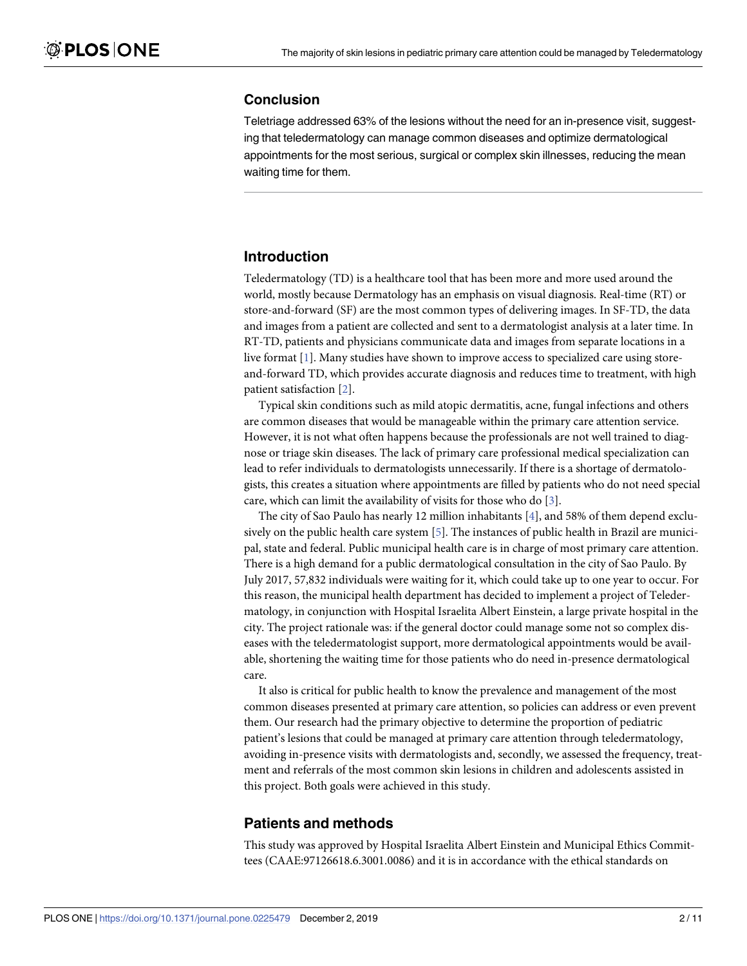# <span id="page-1-0"></span>**Conclusion**

Teletriage addressed 63% of the lesions without the need for an in-presence visit, suggesting that teledermatology can manage common diseases and optimize dermatological appointments for the most serious, surgical or complex skin illnesses, reducing the mean waiting time for them.

# **Introduction**

Teledermatology (TD) is a healthcare tool that has been more and more used around the world, mostly because Dermatology has an emphasis on visual diagnosis. Real-time (RT) or store-and-forward (SF) are the most common types of delivering images. In SF-TD, the data and images from a patient are collected and sent to a dermatologist analysis at a later time. In RT-TD, patients and physicians communicate data and images from separate locations in a live format [[1\]](#page-9-0). Many studies have shown to improve access to specialized care using storeand-forward TD, which provides accurate diagnosis and reduces time to treatment, with high patient satisfaction [[2](#page-9-0)].

Typical skin conditions such as mild atopic dermatitis, acne, fungal infections and others are common diseases that would be manageable within the primary care attention service. However, it is not what often happens because the professionals are not well trained to diagnose or triage skin diseases. The lack of primary care professional medical specialization can lead to refer individuals to dermatologists unnecessarily. If there is a shortage of dermatologists, this creates a situation where appointments are filled by patients who do not need special care, which can limit the availability of visits for those who do [[3\]](#page-9-0).

The city of Sao Paulo has nearly 12 million inhabitants [[4\]](#page-9-0), and 58% of them depend exclusively on the public health care system [\[5\]](#page-9-0). The instances of public health in Brazil are municipal, state and federal. Public municipal health care is in charge of most primary care attention. There is a high demand for a public dermatological consultation in the city of Sao Paulo. By July 2017, 57,832 individuals were waiting for it, which could take up to one year to occur. For this reason, the municipal health department has decided to implement a project of Teledermatology, in conjunction with Hospital Israelita Albert Einstein, a large private hospital in the city. The project rationale was: if the general doctor could manage some not so complex diseases with the teledermatologist support, more dermatological appointments would be available, shortening the waiting time for those patients who do need in-presence dermatological care.

It also is critical for public health to know the prevalence and management of the most common diseases presented at primary care attention, so policies can address or even prevent them. Our research had the primary objective to determine the proportion of pediatric patient's lesions that could be managed at primary care attention through teledermatology, avoiding in-presence visits with dermatologists and, secondly, we assessed the frequency, treatment and referrals of the most common skin lesions in children and adolescents assisted in this project. Both goals were achieved in this study.

# **Patients and methods**

This study was approved by Hospital Israelita Albert Einstein and Municipal Ethics Committees (CAAE:97126618.6.3001.0086) and it is in accordance with the ethical standards on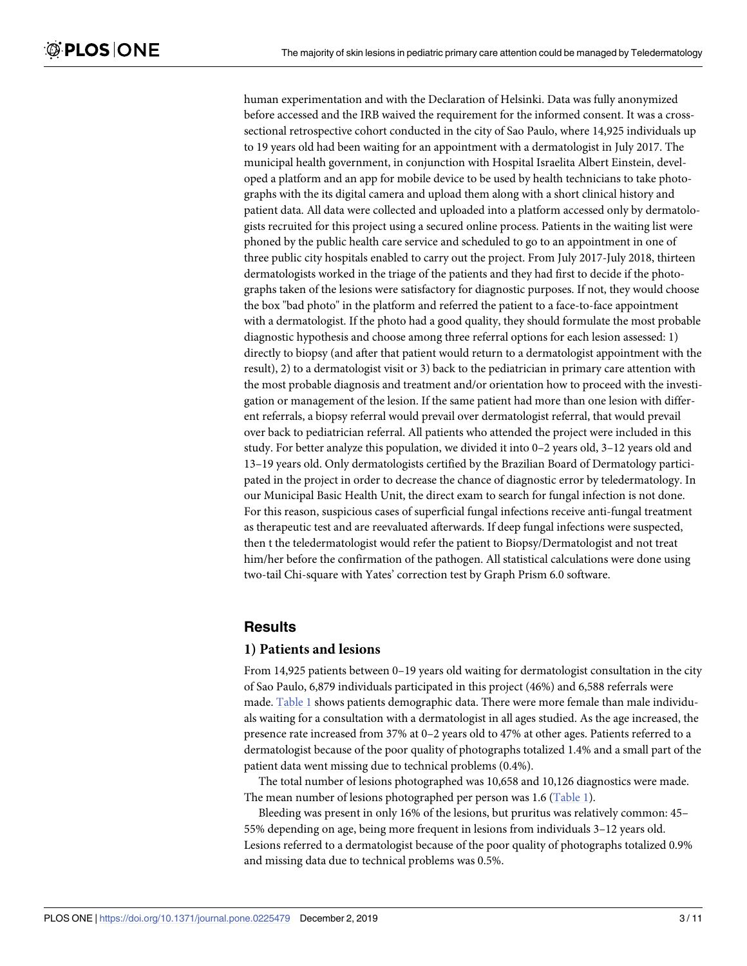<span id="page-2-0"></span>human experimentation and with the Declaration of Helsinki. Data was fully anonymized before accessed and the IRB waived the requirement for the informed consent. It was a crosssectional retrospective cohort conducted in the city of Sao Paulo, where 14,925 individuals up to 19 years old had been waiting for an appointment with a dermatologist in July 2017. The municipal health government, in conjunction with Hospital Israelita Albert Einstein, developed a platform and an app for mobile device to be used by health technicians to take photographs with the its digital camera and upload them along with a short clinical history and patient data. All data were collected and uploaded into a platform accessed only by dermatologists recruited for this project using a secured online process. Patients in the waiting list were phoned by the public health care service and scheduled to go to an appointment in one of three public city hospitals enabled to carry out the project. From July 2017-July 2018, thirteen dermatologists worked in the triage of the patients and they had first to decide if the photographs taken of the lesions were satisfactory for diagnostic purposes. If not, they would choose the box "bad photo" in the platform and referred the patient to a face-to-face appointment with a dermatologist. If the photo had a good quality, they should formulate the most probable diagnostic hypothesis and choose among three referral options for each lesion assessed: 1) directly to biopsy (and after that patient would return to a dermatologist appointment with the result), 2) to a dermatologist visit or 3) back to the pediatrician in primary care attention with the most probable diagnosis and treatment and/or orientation how to proceed with the investigation or management of the lesion. If the same patient had more than one lesion with different referrals, a biopsy referral would prevail over dermatologist referral, that would prevail over back to pediatrician referral. All patients who attended the project were included in this study. For better analyze this population, we divided it into 0–2 years old, 3–12 years old and 13–19 years old. Only dermatologists certified by the Brazilian Board of Dermatology participated in the project in order to decrease the chance of diagnostic error by teledermatology. In our Municipal Basic Health Unit, the direct exam to search for fungal infection is not done. For this reason, suspicious cases of superficial fungal infections receive anti-fungal treatment as therapeutic test and are reevaluated afterwards. If deep fungal infections were suspected, then t the teledermatologist would refer the patient to Biopsy/Dermatologist and not treat him/her before the confirmation of the pathogen. All statistical calculations were done using two-tail Chi-square with Yates' correction test by Graph Prism 6.0 software.

#### **Results**

#### **1) Patients and lesions**

From 14,925 patients between 0–19 years old waiting for dermatologist consultation in the city of Sao Paulo, 6,879 individuals participated in this project (46%) and 6,588 referrals were made. [Table](#page-3-0) 1 shows patients demographic data. There were more female than male individuals waiting for a consultation with a dermatologist in all ages studied. As the age increased, the presence rate increased from 37% at 0–2 years old to 47% at other ages. Patients referred to a dermatologist because of the poor quality of photographs totalized 1.4% and a small part of the patient data went missing due to technical problems (0.4%).

The total number of lesions photographed was 10,658 and 10,126 diagnostics were made. The mean number of lesions photographed per person was 1.6 ([Table](#page-3-0) 1).

Bleeding was present in only 16% of the lesions, but pruritus was relatively common: 45– 55% depending on age, being more frequent in lesions from individuals 3–12 years old. Lesions referred to a dermatologist because of the poor quality of photographs totalized 0.9% and missing data due to technical problems was 0.5%.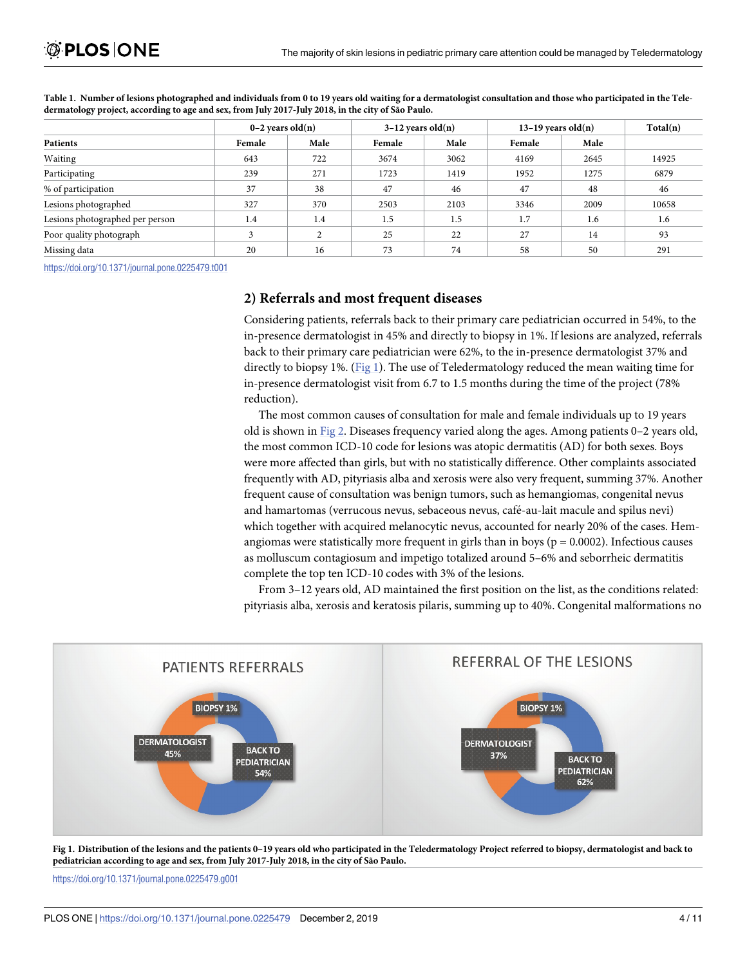| Patients                        | $0-2$ years old $(n)$ |               | $3-12$ years old $(n)$ |      | $13-19$ years old(n) |      | Total(n) |
|---------------------------------|-----------------------|---------------|------------------------|------|----------------------|------|----------|
|                                 | Female                | Male          | Female                 | Male | Female               | Male |          |
| Waiting                         | 643                   | 722           | 3674                   | 3062 | 4169                 | 2645 | 14925    |
| Participating                   | 239                   | 271           | 1723                   | 1419 | 1952                 | 1275 | 6879     |
| % of participation              | 37                    | 38            | 47                     | 46   | 47                   | 48   | 46       |
| Lesions photographed            | 327                   | 370           | 2503                   | 2103 | 3346                 | 2009 | 10658    |
| Lesions photographed per person | 1.4                   | 1.4           | 1.5                    | 1.5  | 1.7                  | 1.6  | 1.6      |
| Poor quality photograph         |                       | $\mathcal{L}$ | 25                     | 22   | 27                   | 14   | 93       |
| Missing data                    | 20                    | 16            | 73                     | 74   | 58                   | 50   | 291      |

<span id="page-3-0"></span>[Table](#page-2-0) 1. Number of lesions photographed and individuals from 0 to 19 years old waiting for a dermatologist consultation and those who participated in the Teledermatology project, according to age and sex, from July 2017-July 2018, in the city of São Paulo.

<https://doi.org/10.1371/journal.pone.0225479.t001>

#### **2) Referrals and most frequent diseases**

Considering patients, referrals back to their primary care pediatrician occurred in 54%, to the in-presence dermatologist in 45% and directly to biopsy in 1%. If lesions are analyzed, referrals back to their primary care pediatrician were 62%, to the in-presence dermatologist 37% and directly to biopsy 1%. (Fig 1). The use of Teledermatology reduced the mean waiting time for in-presence dermatologist visit from 6.7 to 1.5 months during the time of the project (78% reduction).

The most common causes of consultation for male and female individuals up to 19 years old is shown in [Fig](#page-4-0) 2. Diseases frequency varied along the ages. Among patients 0–2 years old, the most common ICD-10 code for lesions was atopic dermatitis (AD) for both sexes. Boys were more affected than girls, but with no statistically difference. Other complaints associated frequently with AD, pityriasis alba and xerosis were also very frequent, summing 37%. Another frequent cause of consultation was benign tumors, such as hemangiomas, congenital nevus and hamartomas (verrucous nevus, sebaceous nevus, café-au-lait macule and spilus nevi) which together with acquired melanocytic nevus, accounted for nearly 20% of the cases. Hemangiomas were statistically more frequent in girls than in boys ( $p = 0.0002$ ). Infectious causes as molluscum contagiosum and impetigo totalized around 5–6% and seborrheic dermatitis complete the top ten ICD-10 codes with 3% of the lesions.

From 3–12 years old, AD maintained the first position on the list, as the conditions related: pityriasis alba, xerosis and keratosis pilaris, summing up to 40%. Congenital malformations no



Fig 1. Distribution of the lesions and the patients 0-19 years old who participated in the Teledermatology Project referred to biopsy, dermatologist and back to **pediatrician according to age and sex, from July 2017-July 2018, in the city of São Paulo.**

<https://doi.org/10.1371/journal.pone.0225479.g001>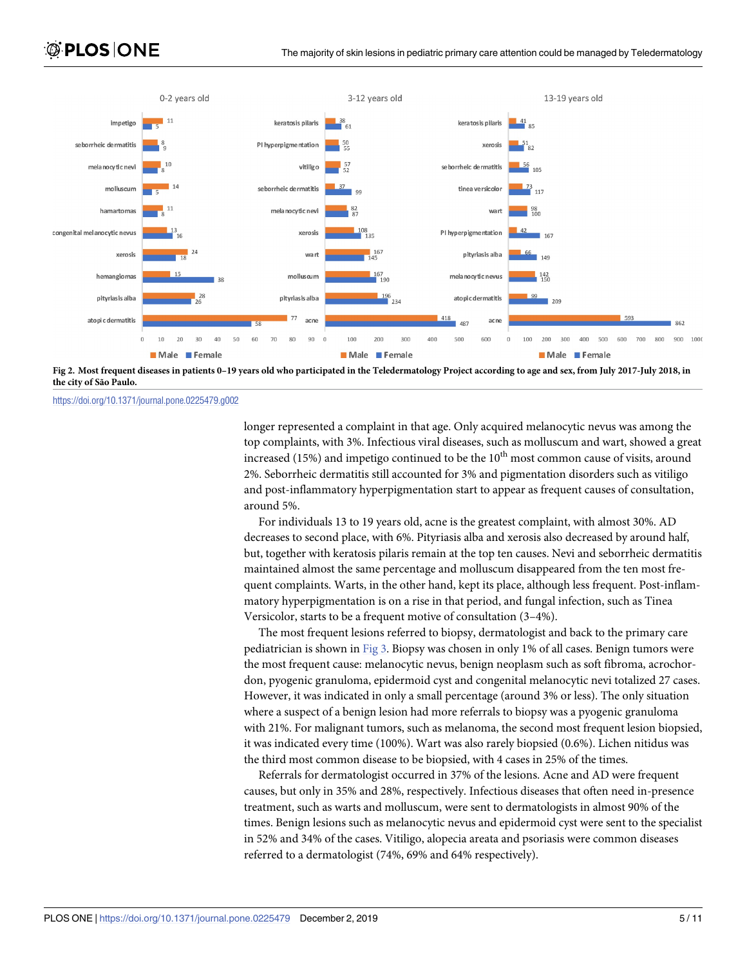<span id="page-4-0"></span>

[Fig](#page-3-0) 2. Most frequent diseases in patients 0-19 years old who participated in the Teledermatology Project according to age and sex, from July 2017-July 2018, in **the city of São Paulo.**

<https://doi.org/10.1371/journal.pone.0225479.g002>

longer represented a complaint in that age. Only acquired melanocytic nevus was among the top complaints, with 3%. Infectious viral diseases, such as molluscum and wart, showed a great increased (15%) and impetigo continued to be the  $10<sup>th</sup>$  most common cause of visits, around 2%. Seborrheic dermatitis still accounted for 3% and pigmentation disorders such as vitiligo and post-inflammatory hyperpigmentation start to appear as frequent causes of consultation, around 5%.

For individuals 13 to 19 years old, acne is the greatest complaint, with almost 30%. AD decreases to second place, with 6%. Pityriasis alba and xerosis also decreased by around half, but, together with keratosis pilaris remain at the top ten causes. Nevi and seborrheic dermatitis maintained almost the same percentage and molluscum disappeared from the ten most frequent complaints. Warts, in the other hand, kept its place, although less frequent. Post-inflammatory hyperpigmentation is on a rise in that period, and fungal infection, such as Tinea Versicolor, starts to be a frequent motive of consultation (3–4%).

The most frequent lesions referred to biopsy, dermatologist and back to the primary care pediatrician is shown in [Fig](#page-5-0) 3. Biopsy was chosen in only 1% of all cases. Benign tumors were the most frequent cause: melanocytic nevus, benign neoplasm such as soft fibroma, acrochordon, pyogenic granuloma, epidermoid cyst and congenital melanocytic nevi totalized 27 cases. However, it was indicated in only a small percentage (around 3% or less). The only situation where a suspect of a benign lesion had more referrals to biopsy was a pyogenic granuloma with 21%. For malignant tumors, such as melanoma, the second most frequent lesion biopsied, it was indicated every time (100%). Wart was also rarely biopsied (0.6%). Lichen nitidus was the third most common disease to be biopsied, with 4 cases in 25% of the times.

Referrals for dermatologist occurred in 37% of the lesions. Acne and AD were frequent causes, but only in 35% and 28%, respectively. Infectious diseases that often need in-presence treatment, such as warts and molluscum, were sent to dermatologists in almost 90% of the times. Benign lesions such as melanocytic nevus and epidermoid cyst were sent to the specialist in 52% and 34% of the cases. Vitiligo, alopecia areata and psoriasis were common diseases referred to a dermatologist (74%, 69% and 64% respectively).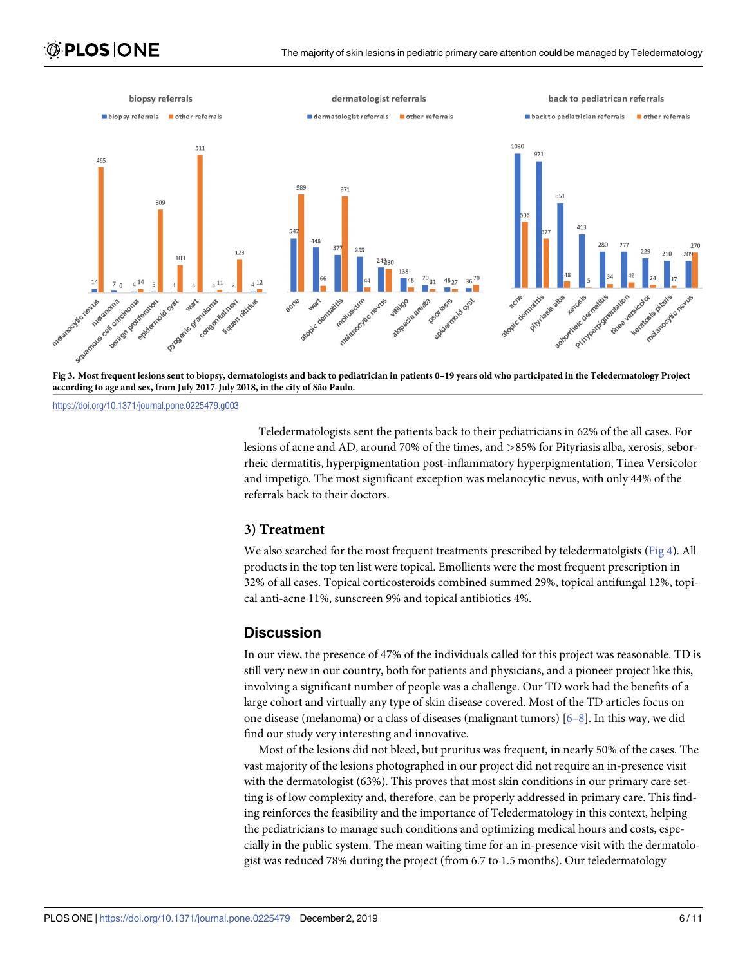<span id="page-5-0"></span>

[Fig](#page-4-0) 3. Most frequent lesions sent to biopsy, dermatologists and back to pediatrician in patients 0-19 years old who participated in the Teledermatology Project **according to age and sex, from July 2017-July 2018, in the city of São Paulo.**

<https://doi.org/10.1371/journal.pone.0225479.g003>

Teledermatologists sent the patients back to their pediatricians in 62% of the all cases. For lesions of acne and AD, around 70% of the times, and *>*85% for Pityriasis alba, xerosis, seborrheic dermatitis, hyperpigmentation post-inflammatory hyperpigmentation, Tinea Versicolor and impetigo. The most significant exception was melanocytic nevus, with only 44% of the referrals back to their doctors.

## **3) Treatment**

We also searched for the most frequent treatments prescribed by teledermatolgists ([Fig](#page-6-0) 4). All products in the top ten list were topical. Emollients were the most frequent prescription in 32% of all cases. Topical corticosteroids combined summed 29%, topical antifungal 12%, topical anti-acne 11%, sunscreen 9% and topical antibiotics 4%.

## **Discussion**

In our view, the presence of 47% of the individuals called for this project was reasonable. TD is still very new in our country, both for patients and physicians, and a pioneer project like this, involving a significant number of people was a challenge. Our TD work had the benefits of a large cohort and virtually any type of skin disease covered. Most of the TD articles focus on one disease (melanoma) or a class of diseases (malignant tumors) [\[6–8](#page-9-0)]. In this way, we did find our study very interesting and innovative.

Most of the lesions did not bleed, but pruritus was frequent, in nearly 50% of the cases. The vast majority of the lesions photographed in our project did not require an in-presence visit with the dermatologist (63%). This proves that most skin conditions in our primary care setting is of low complexity and, therefore, can be properly addressed in primary care. This finding reinforces the feasibility and the importance of Teledermatology in this context, helping the pediatricians to manage such conditions and optimizing medical hours and costs, especially in the public system. The mean waiting time for an in-presence visit with the dermatologist was reduced 78% during the project (from 6.7 to 1.5 months). Our teledermatology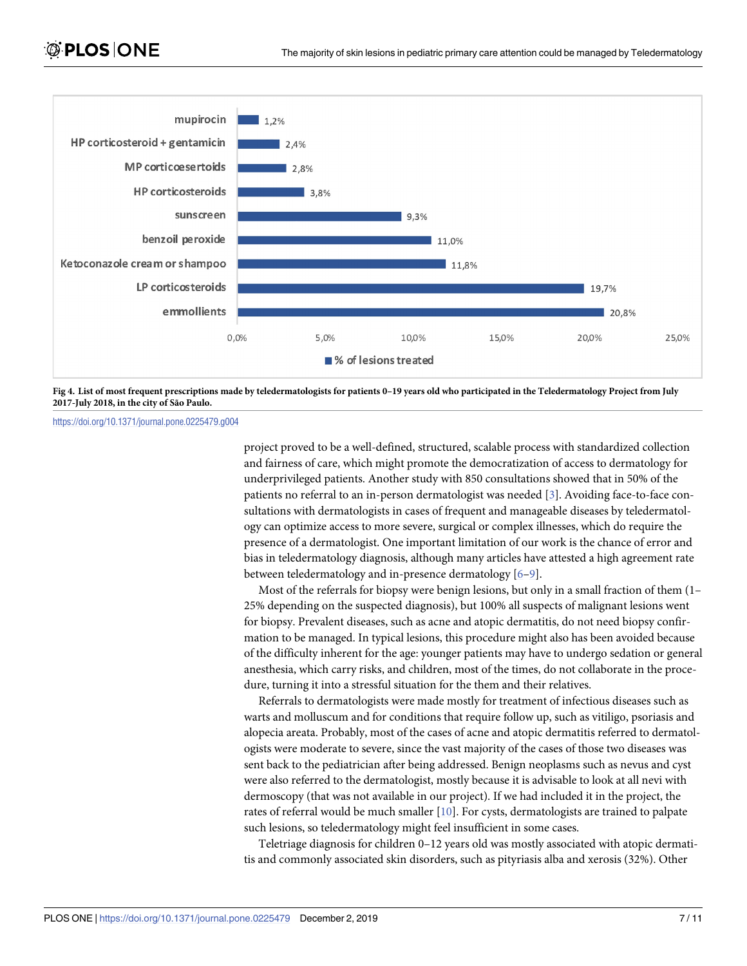<span id="page-6-0"></span>

[Fig](#page-5-0) 4. List of most frequent prescriptions made by teledermatologists for patients 0-19 years old who participated in the Teledermatology Project from July **2017-July 2018, in the city of São Paulo.**

<https://doi.org/10.1371/journal.pone.0225479.g004>

project proved to be a well-defined, structured, scalable process with standardized collection and fairness of care, which might promote the democratization of access to dermatology for underprivileged patients. Another study with 850 consultations showed that in 50% of the patients no referral to an in-person dermatologist was needed [\[3\]](#page-9-0). Avoiding face-to-face consultations with dermatologists in cases of frequent and manageable diseases by teledermatology can optimize access to more severe, surgical or complex illnesses, which do require the presence of a dermatologist. One important limitation of our work is the chance of error and bias in teledermatology diagnosis, although many articles have attested a high agreement rate between teledermatology and in-presence dermatology [\[6–9\]](#page-9-0).

Most of the referrals for biopsy were benign lesions, but only in a small fraction of them (1– 25% depending on the suspected diagnosis), but 100% all suspects of malignant lesions went for biopsy. Prevalent diseases, such as acne and atopic dermatitis, do not need biopsy confirmation to be managed. In typical lesions, this procedure might also has been avoided because of the difficulty inherent for the age: younger patients may have to undergo sedation or general anesthesia, which carry risks, and children, most of the times, do not collaborate in the procedure, turning it into a stressful situation for the them and their relatives.

Referrals to dermatologists were made mostly for treatment of infectious diseases such as warts and molluscum and for conditions that require follow up, such as vitiligo, psoriasis and alopecia areata. Probably, most of the cases of acne and atopic dermatitis referred to dermatologists were moderate to severe, since the vast majority of the cases of those two diseases was sent back to the pediatrician after being addressed. Benign neoplasms such as nevus and cyst were also referred to the dermatologist, mostly because it is advisable to look at all nevi with dermoscopy (that was not available in our project). If we had included it in the project, the rates of referral would be much smaller [\[10\]](#page-9-0). For cysts, dermatologists are trained to palpate such lesions, so teledermatology might feel insufficient in some cases.

Teletriage diagnosis for children 0–12 years old was mostly associated with atopic dermatitis and commonly associated skin disorders, such as pityriasis alba and xerosis (32%). Other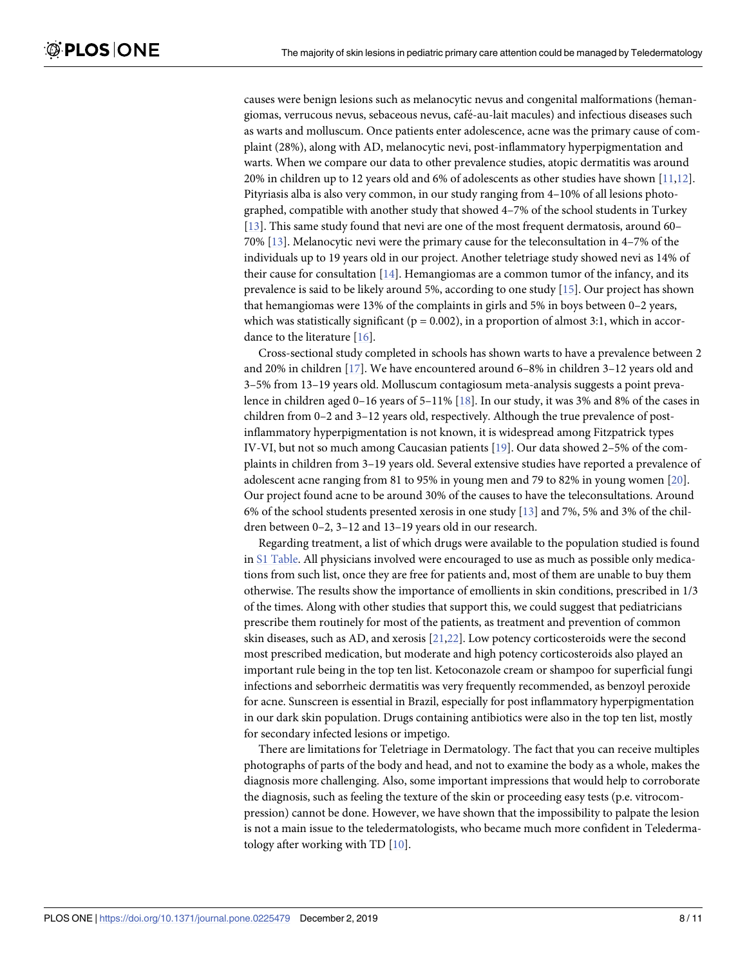<span id="page-7-0"></span>causes were benign lesions such as melanocytic nevus and congenital malformations (hemangiomas, verrucous nevus, sebaceous nevus, cafe´-au-lait macules) and infectious diseases such as warts and molluscum. Once patients enter adolescence, acne was the primary cause of complaint (28%), along with AD, melanocytic nevi, post-inflammatory hyperpigmentation and warts. When we compare our data to other prevalence studies, atopic dermatitis was around 20% in children up to 12 years old and 6% of adolescents as other studies have shown [\[11,12](#page-9-0)]. Pityriasis alba is also very common, in our study ranging from 4–10% of all lesions photographed, compatible with another study that showed 4–7% of the school students in Turkey [\[13\]](#page-9-0). This same study found that nevi are one of the most frequent dermatosis, around 60– 70% [[13](#page-9-0)]. Melanocytic nevi were the primary cause for the teleconsultation in 4–7% of the individuals up to 19 years old in our project. Another teletriage study showed nevi as 14% of their cause for consultation [\[14\]](#page-9-0). Hemangiomas are a common tumor of the infancy, and its prevalence is said to be likely around 5%, according to one study [\[15\]](#page-9-0). Our project has shown that hemangiomas were 13% of the complaints in girls and 5% in boys between 0–2 years, which was statistically significant ( $p = 0.002$ ), in a proportion of almost 3:1, which in accordance to the literature [[16](#page-9-0)].

Cross-sectional study completed in schools has shown warts to have a prevalence between 2 and 20% in children [[17](#page-9-0)]. We have encountered around 6–8% in children 3–12 years old and 3–5% from 13–19 years old. Molluscum contagiosum meta-analysis suggests a point prevalence in children aged 0–16 years of 5–11% [\[18\]](#page-10-0). In our study, it was 3% and 8% of the cases in children from 0–2 and 3–12 years old, respectively. Although the true prevalence of postinflammatory hyperpigmentation is not known, it is widespread among Fitzpatrick types IV-VI, but not so much among Caucasian patients [\[19\]](#page-10-0). Our data showed 2–5% of the complaints in children from 3–19 years old. Several extensive studies have reported a prevalence of adolescent acne ranging from 81 to 95% in young men and 79 to 82% in young women [\[20\]](#page-10-0). Our project found acne to be around 30% of the causes to have the teleconsultations. Around 6% of the school students presented xerosis in one study [\[13\]](#page-9-0) and 7%, 5% and 3% of the children between 0–2, 3–12 and 13–19 years old in our research.

Regarding treatment, a list of which drugs were available to the population studied is found in S1 [Table](#page-8-0). All physicians involved were encouraged to use as much as possible only medications from such list, once they are free for patients and, most of them are unable to buy them otherwise. The results show the importance of emollients in skin conditions, prescribed in 1/3 of the times. Along with other studies that support this, we could suggest that pediatricians prescribe them routinely for most of the patients, as treatment and prevention of common skin diseases, such as AD, and xerosis [[21](#page-10-0),[22](#page-10-0)]. Low potency corticosteroids were the second most prescribed medication, but moderate and high potency corticosteroids also played an important rule being in the top ten list. Ketoconazole cream or shampoo for superficial fungi infections and seborrheic dermatitis was very frequently recommended, as benzoyl peroxide for acne. Sunscreen is essential in Brazil, especially for post inflammatory hyperpigmentation in our dark skin population. Drugs containing antibiotics were also in the top ten list, mostly for secondary infected lesions or impetigo.

There are limitations for Teletriage in Dermatology. The fact that you can receive multiples photographs of parts of the body and head, and not to examine the body as a whole, makes the diagnosis more challenging. Also, some important impressions that would help to corroborate the diagnosis, such as feeling the texture of the skin or proceeding easy tests (p.e. vitrocompression) cannot be done. However, we have shown that the impossibility to palpate the lesion is not a main issue to the teledermatologists, who became much more confident in Teledermatology after working with TD [[10](#page-9-0)].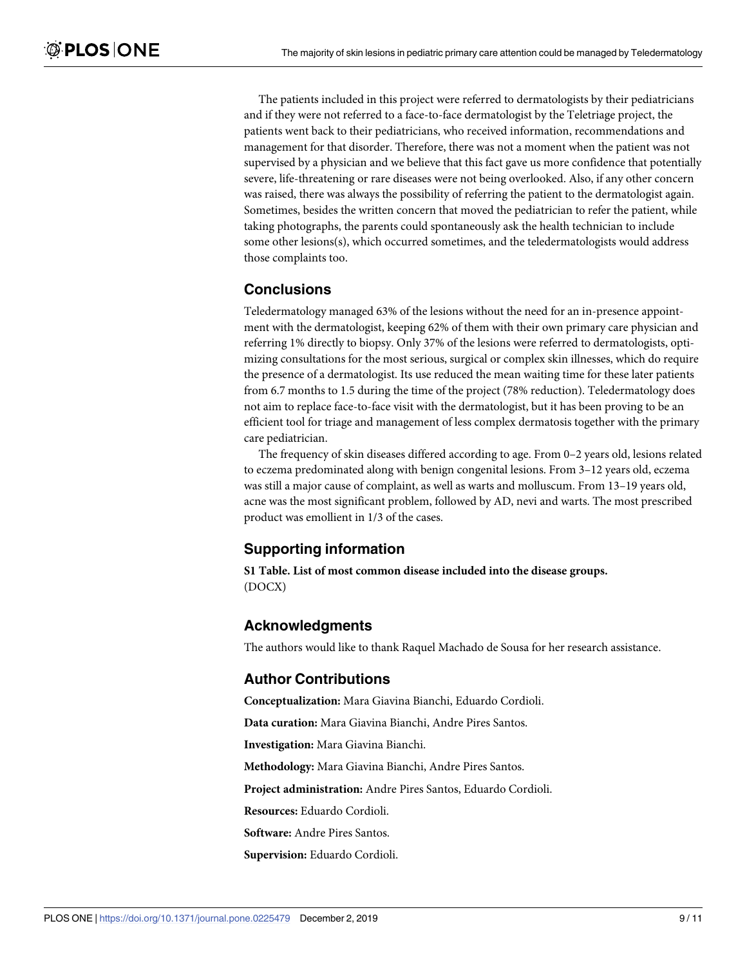<span id="page-8-0"></span>The patients included in this project were referred to dermatologists by their pediatricians and if they were not referred to a face-to-face dermatologist by the Teletriage project, the patients went back to their pediatricians, who received information, recommendations and management for that disorder. Therefore, there was not a moment when the patient was not supervised by a physician and we believe that this fact gave us more confidence that potentially severe, life-threatening or rare diseases were not being overlooked. Also, if any other concern was raised, there was always the possibility of referring the patient to the dermatologist again. Sometimes, besides the written concern that moved the pediatrician to refer the patient, while taking photographs, the parents could spontaneously ask the health technician to include some other lesions(s), which occurred sometimes, and the teledermatologists would address those complaints too.

# **Conclusions**

Teledermatology managed 63% of the lesions without the need for an in-presence appointment with the dermatologist, keeping 62% of them with their own primary care physician and referring 1% directly to biopsy. Only 37% of the lesions were referred to dermatologists, optimizing consultations for the most serious, surgical or complex skin illnesses, which do require the presence of a dermatologist. Its use reduced the mean waiting time for these later patients from 6.7 months to 1.5 during the time of the project (78% reduction). Teledermatology does not aim to replace face-to-face visit with the dermatologist, but it has been proving to be an efficient tool for triage and management of less complex dermatosis together with the primary care pediatrician.

The frequency of skin diseases differed according to age. From 0–2 years old, lesions related to eczema predominated along with benign congenital lesions. From 3–12 years old, eczema was still a major cause of complaint, as well as warts and molluscum. From 13–19 years old, acne was the most significant problem, followed by AD, nevi and warts. The most prescribed product was emollient in 1/3 of the cases.

# **Supporting information**

**S1 [Table.](http://www.plosone.org/article/fetchSingleRepresentation.action?uri=info:doi/10.1371/journal.pone.0225479.s001) List of most common disease included into the disease groups.** (DOCX)

#### **Acknowledgments**

The authors would like to thank Raquel Machado de Sousa for her research assistance.

# **Author Contributions**

**Conceptualization:** Mara Giavina Bianchi, Eduardo Cordioli.

**Data curation:** Mara Giavina Bianchi, Andre Pires Santos.

**Investigation:** Mara Giavina Bianchi.

**Methodology:** Mara Giavina Bianchi, Andre Pires Santos.

**Project administration:** Andre Pires Santos, Eduardo Cordioli.

**Resources:** Eduardo Cordioli.

**Software:** Andre Pires Santos.

**Supervision:** Eduardo Cordioli.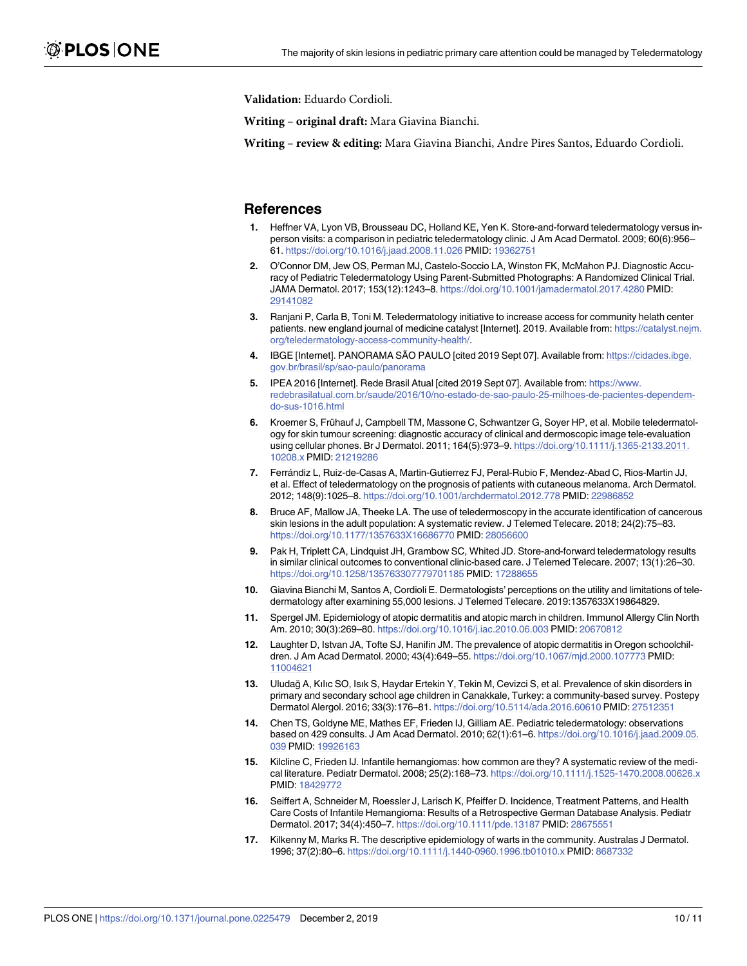<span id="page-9-0"></span>**Validation:** Eduardo Cordioli.

**Writing – original draft:** Mara Giavina Bianchi.

**Writing – review & editing:** Mara Giavina Bianchi, Andre Pires Santos, Eduardo Cordioli.

#### **References**

- **[1](#page-1-0).** Heffner VA, Lyon VB, Brousseau DC, Holland KE, Yen K. Store-and-forward teledermatology versus inperson visits: a comparison in pediatric teledermatology clinic. J Am Acad Dermatol. 2009; 60(6):956– 61. <https://doi.org/10.1016/j.jaad.2008.11.026> PMID: [19362751](http://www.ncbi.nlm.nih.gov/pubmed/19362751)
- **[2](#page-1-0).** O'Connor DM, Jew OS, Perman MJ, Castelo-Soccio LA, Winston FK, McMahon PJ. Diagnostic Accuracy of Pediatric Teledermatology Using Parent-Submitted Photographs: A Randomized Clinical Trial. JAMA Dermatol. 2017; 153(12):1243–8. <https://doi.org/10.1001/jamadermatol.2017.4280> PMID: [29141082](http://www.ncbi.nlm.nih.gov/pubmed/29141082)
- **[3](#page-1-0).** Ranjani P, Carla B, Toni M. Teledermatology initiative to increase access for community helath center patients. new england journal of medicine catalyst [Internet]. 2019. Available from: [https://catalyst.nejm.](https://catalyst.nejm.org/teledermatology-access-community-health/) [org/teledermatology-access-community-health/.](https://catalyst.nejm.org/teledermatology-access-community-health/)
- **[4](#page-1-0).** IBGE [Internet]. PANORAMA SÃO PAULO [cited 2019 Sept 07]. Available from: [https://cidades.ibge.](https://cidades.ibge.gov.br/brasil/sp/sao-paulo/panorama) [gov.br/brasil/sp/sao-paulo/panorama](https://cidades.ibge.gov.br/brasil/sp/sao-paulo/panorama)
- **[5](#page-1-0).** IPEA 2016 [Internet]. Rede Brasil Atual [cited 2019 Sept 07]. Available from: [https://www.](https://www.redebrasilatual.com.br/saude/2016/10/no-estado-de-sao-paulo-25-milhoes-de-pacientes-dependem-do-sus-1016.html) [redebrasilatual.com.br/saude/2016/10/no-estado-de-sao-paulo-25-milhoes-de-pacientes-dependem](https://www.redebrasilatual.com.br/saude/2016/10/no-estado-de-sao-paulo-25-milhoes-de-pacientes-dependem-do-sus-1016.html)[do-sus-1016.html](https://www.redebrasilatual.com.br/saude/2016/10/no-estado-de-sao-paulo-25-milhoes-de-pacientes-dependem-do-sus-1016.html)
- **[6](#page-5-0).** Kroemer S, Frühauf J, Campbell TM, Massone C, Schwantzer G, Soyer HP, et al. Mobile teledermatology for skin tumour screening: diagnostic accuracy of clinical and dermoscopic image tele-evaluation using cellular phones. Br J Dermatol. 2011; 164(5):973–9. [https://doi.org/10.1111/j.1365-2133.2011.](https://doi.org/10.1111/j.1365-2133.2011.10208.x) [10208.x](https://doi.org/10.1111/j.1365-2133.2011.10208.x) PMID: [21219286](http://www.ncbi.nlm.nih.gov/pubmed/21219286)
- **7.** Ferra´ndiz L, Ruiz-de-Casas A, Martin-Gutierrez FJ, Peral-Rubio F, Mendez-Abad C, Rios-Martin JJ, et al. Effect of teledermatology on the prognosis of patients with cutaneous melanoma. Arch Dermatol. 2012; 148(9):1025–8. <https://doi.org/10.1001/archdermatol.2012.778> PMID: [22986852](http://www.ncbi.nlm.nih.gov/pubmed/22986852)
- **[8](#page-5-0).** Bruce AF, Mallow JA, Theeke LA. The use of teledermoscopy in the accurate identification of cancerous skin lesions in the adult population: A systematic review. J Telemed Telecare. 2018; 24(2):75–83. <https://doi.org/10.1177/1357633X16686770> PMID: [28056600](http://www.ncbi.nlm.nih.gov/pubmed/28056600)
- **[9](#page-6-0).** Pak H, Triplett CA, Lindquist JH, Grambow SC, Whited JD. Store-and-forward teledermatology results in similar clinical outcomes to conventional clinic-based care. J Telemed Telecare. 2007; 13(1):26–30. <https://doi.org/10.1258/135763307779701185> PMID: [17288655](http://www.ncbi.nlm.nih.gov/pubmed/17288655)
- **[10](#page-6-0).** Giavina Bianchi M, Santos A, Cordioli E. Dermatologists' perceptions on the utility and limitations of teledermatology after examining 55,000 lesions. J Telemed Telecare. 2019:1357633X19864829.
- **[11](#page-7-0).** Spergel JM. Epidemiology of atopic dermatitis and atopic march in children. Immunol Allergy Clin North Am. 2010; 30(3):269–80. <https://doi.org/10.1016/j.iac.2010.06.003> PMID: [20670812](http://www.ncbi.nlm.nih.gov/pubmed/20670812)
- **[12](#page-7-0).** Laughter D, Istvan JA, Tofte SJ, Hanifin JM. The prevalence of atopic dermatitis in Oregon schoolchildren. J Am Acad Dermatol. 2000; 43(4):649–55. <https://doi.org/10.1067/mjd.2000.107773> PMID: [11004621](http://www.ncbi.nlm.nih.gov/pubmed/11004621)
- **[13](#page-7-0).** Uludağ A, Kılıc SO, Isık S, Haydar Ertekin Y, Tekin M, Cevizci S, et al. Prevalence of skin disorders in primary and secondary school age children in Canakkale, Turkey: a community-based survey. Postepy Dermatol Alergol. 2016; 33(3):176–81. <https://doi.org/10.5114/ada.2016.60610> PMID: [27512351](http://www.ncbi.nlm.nih.gov/pubmed/27512351)
- **[14](#page-7-0).** Chen TS, Goldyne ME, Mathes EF, Frieden IJ, Gilliam AE. Pediatric teledermatology: observations based on 429 consults. J Am Acad Dermatol. 2010; 62(1):61–6. [https://doi.org/10.1016/j.jaad.2009.05.](https://doi.org/10.1016/j.jaad.2009.05.039) [039](https://doi.org/10.1016/j.jaad.2009.05.039) PMID: [19926163](http://www.ncbi.nlm.nih.gov/pubmed/19926163)
- **[15](#page-7-0).** Kilcline C, Frieden IJ. Infantile hemangiomas: how common are they? A systematic review of the medical literature. Pediatr Dermatol. 2008; 25(2):168–73. <https://doi.org/10.1111/j.1525-1470.2008.00626.x> PMID: [18429772](http://www.ncbi.nlm.nih.gov/pubmed/18429772)
- **[16](#page-7-0).** Seiffert A, Schneider M, Roessler J, Larisch K, Pfeiffer D. Incidence, Treatment Patterns, and Health Care Costs of Infantile Hemangioma: Results of a Retrospective German Database Analysis. Pediatr Dermatol. 2017; 34(4):450–7. <https://doi.org/10.1111/pde.13187> PMID: [28675551](http://www.ncbi.nlm.nih.gov/pubmed/28675551)
- **[17](#page-7-0).** Kilkenny M, Marks R. The descriptive epidemiology of warts in the community. Australas J Dermatol. 1996; 37(2):80–6. <https://doi.org/10.1111/j.1440-0960.1996.tb01010.x> PMID: [8687332](http://www.ncbi.nlm.nih.gov/pubmed/8687332)